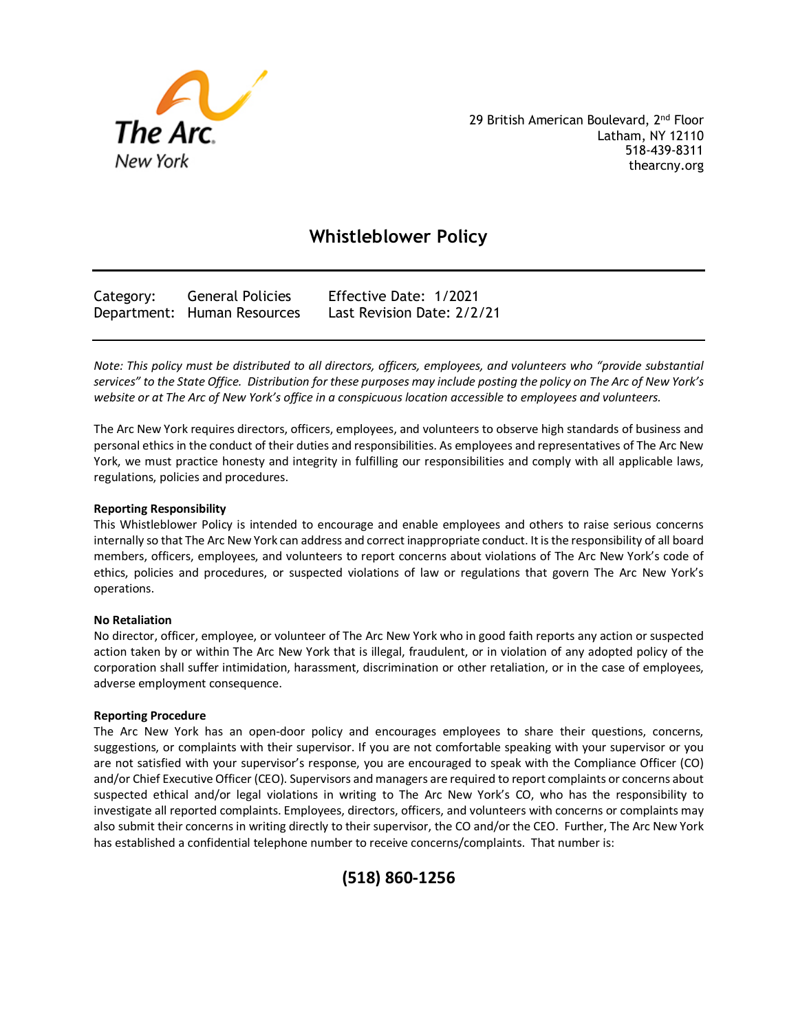

29 British American Boulevard, 2<sup>nd</sup> Floor Latham, NY 12110 518-439-8311 thearcny.org

# **Whistleblower Policy**

| Category: | <b>General Policies</b>     | Effective Date: 1/2021     |
|-----------|-----------------------------|----------------------------|
|           | Department: Human Resources | Last Revision Date: 2/2/21 |

*Note: This policy must be distributed to all directors, officers, employees, and volunteers who "provide substantial services" to the State Office. Distribution for these purposes may include posting the policy on The Arc of New York's website or at The Arc of New York's office in a conspicuous location accessible to employees and volunteers.* 

The Arc New York requires directors, officers, employees, and volunteers to observe high standards of business and personal ethics in the conduct of their duties and responsibilities. As employees and representatives of The Arc New York, we must practice honesty and integrity in fulfilling our responsibilities and comply with all applicable laws, regulations, policies and procedures.

## **Reporting Responsibility**

This Whistleblower Policy is intended to encourage and enable employees and others to raise serious concerns internally so that The Arc New York can address and correct inappropriate conduct. It is the responsibility of all board members, officers, employees, and volunteers to report concerns about violations of The Arc New York's code of ethics, policies and procedures, or suspected violations of law or regulations that govern The Arc New York's operations.

## **No Retaliation**

No director, officer, employee, or volunteer of The Arc New York who in good faith reports any action or suspected action taken by or within The Arc New York that is illegal, fraudulent, or in violation of any adopted policy of the corporation shall suffer intimidation, harassment, discrimination or other retaliation, or in the case of employees, adverse employment consequence.

## **Reporting Procedure**

The Arc New York has an open-door policy and encourages employees to share their questions, concerns, suggestions, or complaints with their supervisor. If you are not comfortable speaking with your supervisor or you are not satisfied with your supervisor's response, you are encouraged to speak with the Compliance Officer (CO) and/or Chief Executive Officer (CEO). Supervisors and managers are required to report complaints or concerns about suspected ethical and/or legal violations in writing to The Arc New York's CO, who has the responsibility to investigate all reported complaints. Employees, directors, officers, and volunteers with concerns or complaints may also submit their concerns in writing directly to their supervisor, the CO and/or the CEO. Further, The Arc New York has established a confidential telephone number to receive concerns/complaints. That number is: